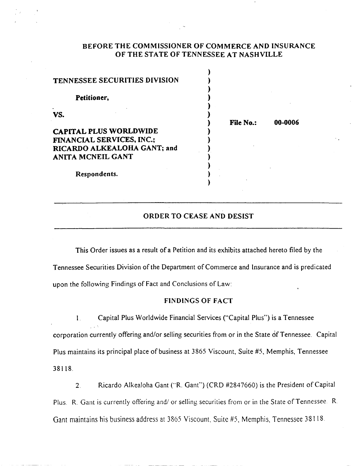### BEFORE THE COMMISSIONER OF COMMERCE AND INSURANCE OF THE STATE OF TENNESSEE AT NASHVILLE

 $\mathbf{v}$ 

| <b>File No.:</b> | 00-0006 |
|------------------|---------|
|                  |         |
|                  |         |
|                  |         |
|                  |         |
|                  |         |
|                  |         |
|                  |         |
|                  |         |

### ORDER TO CEASE AND DESIST

This Order issues as a result of a Petition and its exhibits attached hereto filed by the Tennessee Securities Division of the Department of Commerce and Insurance and is predicated upon the following Findings of Fact and Conclusions of Law:

#### FINDINGS OF FACT

I. Capital Plus Worldwide Financial Services ("Capital Plus") is a Tennessee corporation currently offering and/or selling securities from or in the State of Tennessee. Capital Plus maintains its principal place of business at 3 865 Viscount, Suite #5, Memphis, Tennessee 38118.

2. Ricardo Alkealoha Gant ("R. Gant") (CRD #2847660) is the President of Capital Plus. R. Gant is currently offering and/ or selling securities from or in the State of Tennessee. R. Gant maintains his business address at 3865 Viscount, Suite #5, Memphis, Tennessee 38118.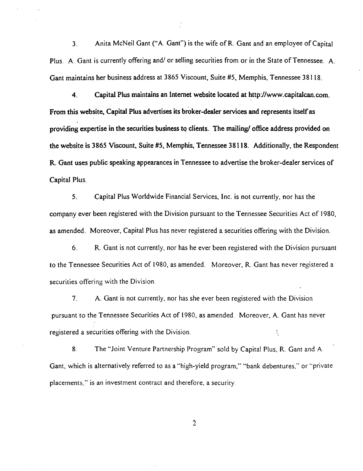3. Anita McNeil Gant ("A Gant") is the wife ofR. Gant and an employee of Capital Plus. A. Gant is currently offering and/ or selling securities from or in the State of Tennessee. A. Gant maintains her business address at 3865 Viscount, Suite #5, Memphis, Tennessee 38118.

4. Capital Plus maintains an Internet website located at http://www.capitalcan.com. From this website. Capital Plus advertises its broker-dealer services and represents itself as providing expertise in the securities business to clients. The mailing/ office address provided on the website is 3865 Viscount. Suite #5. Memphis, Tennessee 38118. Additionally, the Respondent R. Gant uses public speaking appearances in Tennessee to advertise the broker-dealer services of Capital Plus.

5. Capital Plus Worldwide Financial Services, Inc. is not currently, nor has the company ever been registered with the Division pursuant to the Tennessee Securities Act of 1980, as amended. Moreover, Capital Plus has never registered a securities offering with the Division.

6. R. Gant is not currently, nor has he ever been registered with the Division pursuant to the Tennessee Securities Act of 1980, as amended. Moreover, R. Gant has never registered a securities offering with the Division.

7. A Gant is not currently, nor has she ever been registered with the Division pursuant to the Tennessee Securities Act of I 980, as amended. Moreover, A. Gant has never registered a securities offering with the Division.  $\mathbb{F}_q$ 

8. The ''Joint Venture Partnership Program" sold by Capital Plus, R. Gant and A Gant, which is alternatively referred to as a "high-yield program," "bank debentures," or "private placements," is an investment contract and therefore, a security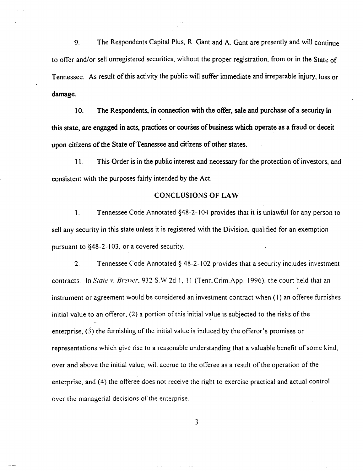9. The Respondents Capital Plus, R. Gant and A. Gant are presently and will continue to offer and/or sell unregistered securities, without the proper registration, from or in the State of Tennessee. As result of this activity the public will suffer immediate and irreparable injury, loss or damage.

10. The Respondents. in connection with the offer. sale and purchase of a security in this state, are engaged in acts. practices or courses of business which operate as a fraud or deceit upon citizens of the State of Tennessee and citizens of other states.

11. This Order is in the public interest and necessary for the protection of investors, and consistent with the purposes fairly intended by the Act.

### CONCLUSIONS OF LAW

1. Tennessee Code Annotated §48-2-1 04 provides that it is unlawful for any person to sell any security in this state unless it is registered with the Division, qualified for an exemption pursuant to §48-2-1 03, or a covered security.

2. Tennessee Code Annotated § 48-2-102 provides that a security includes investment contracts. In *State v. Brewer*, 932 S.W 2d 1, 11 (Tenn.Crim.App. 1996), the court held that an instrument or agreement would be considered an investment contract when (I) an offeree furnishes initial value to an offeror,  $(2)$  a portion of this initial value is subjected to the risks of the enterprise, (3) the furnishing of the initial value is induced by the offeror's promises or representations which give rise to a reasonable understanding that a valuable benefit of some kind, over and above the initial value, will accrue to the offeree as a result of the operation of the enterprise, and (4) the offeree does not receive the right to exercise practical and actual control over the managerial decisions of the enterprise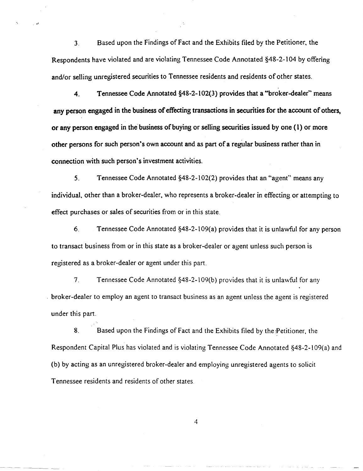3. Based upon the Findings of Fact and the Exhibits filed by the Petitioner, the Respondents have violated and are violating Tennessee Code Annotated §48-2-104 by offering and/or selling unregistered securities to Tennessee residents and residents of other states.

.-'

4. Tennessee Code Annotated  $\S$ 48-2-102(3) provides that a "broker-dealer" means any person engaged in the business of effecting transactions in securities for the account of others, or any person engaged in the business of buying or selling securities issued by one (1) or more other persons for such person's own account and as part of a regular business rather than in connection with such person's investment activities.

5. Tennessee Code Annotated §48-2-1 02(2) provides that an "agent" means any individual, other than a broker-dealer, who represents a broker-dealer in effecting or attempting to effect purchases or sales of securities from or in this state.

6. Tennessee Code Annotated §48-2-1 09(a) provides that it is unlawful for any person to transact business from or in this state as a broker-dealer or agent unless such person is registered as a broker-dealer or agent under this part.

7. Tennessee Code Annotated §48-2-109(b) provides that it is unlawful for any . broker-dealer to employ an agent to transact business as an agent unless the agent is registered under this part.

8. Based upon the Findings of Fact and the Exhibits filed by the :Petitioner, the Respondent Capital Plus has violated and is violating Tennessee Code Annotated §48-2-1 09(a) and (b) by acting as an unregistered broker-dealer and employing unregistered agents to solicit Tennessee residents and residents of other states.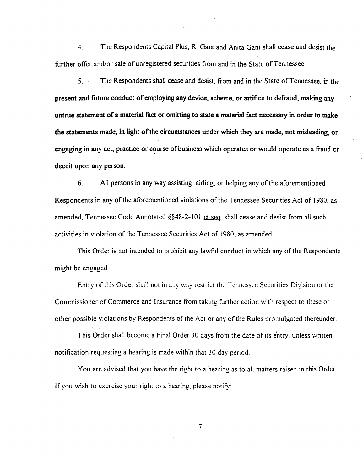4. The Respondents Capital Plus, R. Gant and Anita Gant shall cease and desist the further offer and/or sale of unregistered securities from and in the State of Tennessee.

5. The Respondents shall cease and desist, from and in the State of Tennessee, in the present and future conduct of employing any device. scheme. or artifice to defraud. making any untrue statement of a material fact or omitting to state a material fact necessary in order to make the statements made. in light of the circumstances under which they are made, not misleading. or engaging in any act, practice or course of business which operates or would operate as a fraud or deceit upon any person.

6. All persons in any way assisting, aiding, or helping any of the aforementioned Respondents in any of the aforementioned violations of the Tennessee Securities Act of 1980, as amended, Tennessee Code Annotated  $\S$ §48-2-101 et seq. shall cease and desist from all such activities in violation of the Tennessee Securities Act of 1980, as amended.

This Order is not intended to prohibit any lawful conduct in which any of the Respondents might be engaged.

Entry of this Order shall not in any way restrict the Tennessee Securities Diyision or the Commissioner of Commerce and Insurance from taking further action with respect to these or other possible violations by Respondents of the Act or any of the Rules promulgated thereunder.

This Order shall become a Final Order 30 days from the date of its entry, unless written notification requesting a hearing is made within that 30 day period.

You are advised that you have the right to a hearing as to all matters raised in this Order. If you wish to exercise your right to a hearing, please notify: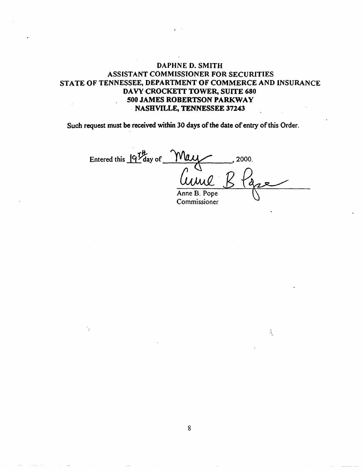# DAPHNE D. SMITH ASSISTANT COMMISSIONER FOR SECURITIES STATE OF TENNESSEE, DEPARTMENT OF COMMERCE AND INSURANCE DAVY CROCKETT TOWER, SUITE 680 500 JAMES ROBERTSON PARKWAY NASHVILLE, TENNESSEE 37243

Such request must be received within 30 days of the date of entry of this Order.

Entered this  $19\frac{\text{Hz}}{\text{day of}}$   $\frac{\text{Way}}{\text{day}}$  2000. Anne B. Pope Curve Blaze

Commissioner

š.